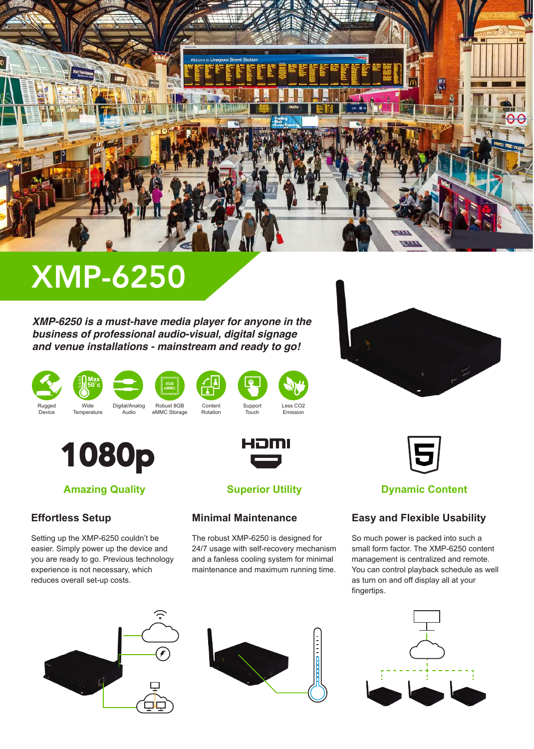

# XMP-6250

*XMP-6250 is a must-have media player for anyone in the business of professional audio-visual, digital signage and venue installations - mainstream and ready to go!*



Device



**Temperature** 



Audio







1080p



## **Effortless Setup**

Setting up the XMP-6250 couldn't be easier. Simply power up the device and you are ready to go. Previous technology experience is not necessary, which reduces overall set-up costs.





**Superior Utility**

HƏMI

**Minimal Maintenance**

The robust XMP-6250 is designed for 24/7 usage with self-recovery mechanism and a fanless cooling system for minimal maintenance and maximum running time.



## **Easy and Flexible Usability**

So much power is packed into such a small form factor. The XMP-6250 content management is centralized and remote. You can control playback schedule as well as turn on and off display all at your fingertips.